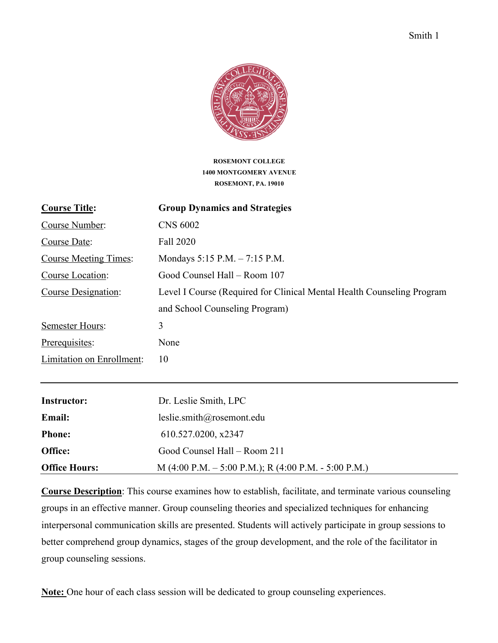

**ROSEMONT COLLEGE 1400 MONTGOMERY AVENUE ROSEMONT, PA. 19010**

| <b>Group Dynamics and Strategies</b>                                   |
|------------------------------------------------------------------------|
| <b>CNS 6002</b>                                                        |
| Fall 2020                                                              |
| Mondays $5:15$ P.M. $- 7:15$ P.M.                                      |
| Good Counsel Hall - Room 107                                           |
| Level I Course (Required for Clinical Mental Health Counseling Program |
| and School Counseling Program)                                         |
| 3                                                                      |
| None                                                                   |
| 10                                                                     |
|                                                                        |
| Dr. Leslie Smith, LPC                                                  |
| leslie.smith@rosemont.edu                                              |
| 610.527.0200, x2347                                                    |
| Good Counsel Hall - Room 211                                           |
|                                                                        |

**Office Hours:** M (4:00 P.M. – 5:00 P.M.); R (4:00 P.M. - 5:00 P.M.)

**Course Description**: This course examines how to establish, facilitate, and terminate various counseling groups in an effective manner. Group counseling theories and specialized techniques for enhancing interpersonal communication skills are presented. Students will actively participate in group sessions to better comprehend group dynamics, stages of the group development, and the role of the facilitator in group counseling sessions.

**Note:** One hour of each class session will be dedicated to group counseling experiences.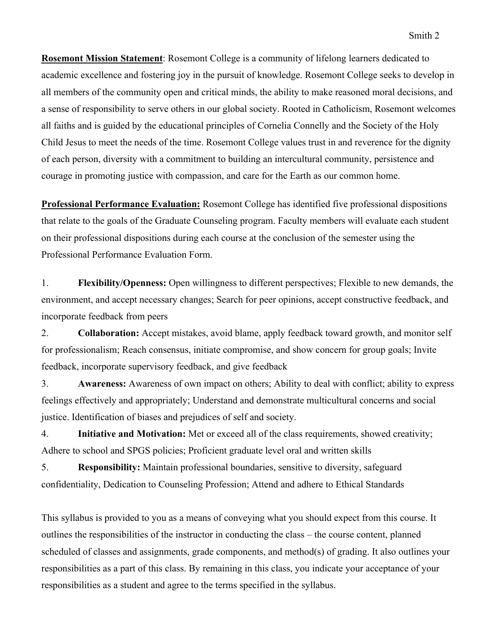**Rosemont Mission Statement**: Rosemont College is a community of lifelong learners dedicated to academic excellence and fostering joy in the pursuit of knowledge. Rosemont College seeks to develop in all members of the community open and critical minds, the ability to make reasoned moral decisions, and a sense of responsibility to serve others in our global society. Rooted in Catholicism, Rosemont welcomes all faiths and is guided by the educational principles of Cornelia Connelly and the Society of the Holy Child Jesus to meet the needs of the time. Rosemont College values trust in and reverence for the dignity of each person, diversity with a commitment to building an intercultural community, persistence and courage in promoting justice with compassion, and care for the Earth as our common home.

**Professional Performance Evaluation:** Rosemont College has identified five professional dispositions that relate to the goals of the Graduate Counseling program. Faculty members will evaluate each student on their professional dispositions during each course at the conclusion of the semester using the Professional Performance Evaluation Form.

1. **Flexibility/Openness:** Open willingness to different perspectives; Flexible to new demands, the environment, and accept necessary changes; Search for peer opinions, accept constructive feedback, and incorporate feedback from peers

2. **Collaboration:** Accept mistakes, avoid blame, apply feedback toward growth, and monitor self for professionalism; Reach consensus, initiate compromise, and show concern for group goals; Invite feedback, incorporate supervisory feedback, and give feedback

3. **Awareness:** Awareness of own impact on others; Ability to deal with conflict; ability to express feelings effectively and appropriately; Understand and demonstrate multicultural concerns and social justice. Identification of biases and prejudices of self and society.

4. **Initiative and Motivation:** Met or exceed all of the class requirements, showed creativity; Adhere to school and SPGS policies; Proficient graduate level oral and written skills

5. **Responsibility:** Maintain professional boundaries, sensitive to diversity, safeguard confidentiality, Dedication to Counseling Profession; Attend and adhere to Ethical Standards

This syllabus is provided to you as a means of conveying what you should expect from this course. It outlines the responsibilities of the instructor in conducting the class – the course content, planned scheduled of classes and assignments, grade components, and method(s) of grading. It also outlines your responsibilities as a part of this class. By remaining in this class, you indicate your acceptance of your responsibilities as a student and agree to the terms specified in the syllabus.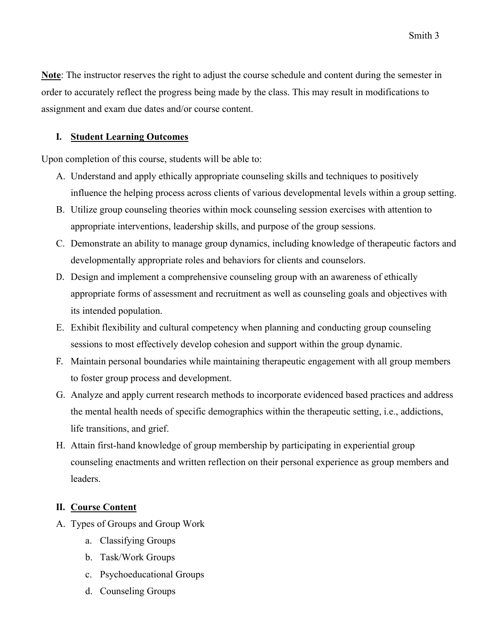**Note**: The instructor reserves the right to adjust the course schedule and content during the semester in order to accurately reflect the progress being made by the class. This may result in modifications to assignment and exam due dates and/or course content.

### **I. Student Learning Outcomes**

Upon completion of this course, students will be able to:

- A. Understand and apply ethically appropriate counseling skills and techniques to positively influence the helping process across clients of various developmental levels within a group setting.
- B. Utilize group counseling theories within mock counseling session exercises with attention to appropriate interventions, leadership skills, and purpose of the group sessions.
- C. Demonstrate an ability to manage group dynamics, including knowledge of therapeutic factors and developmentally appropriate roles and behaviors for clients and counselors.
- D. Design and implement a comprehensive counseling group with an awareness of ethically appropriate forms of assessment and recruitment as well as counseling goals and objectives with its intended population.
- E. Exhibit flexibility and cultural competency when planning and conducting group counseling sessions to most effectively develop cohesion and support within the group dynamic.
- F. Maintain personal boundaries while maintaining therapeutic engagement with all group members to foster group process and development.
- G. Analyze and apply current research methods to incorporate evidenced based practices and address the mental health needs of specific demographics within the therapeutic setting, i.e., addictions, life transitions, and grief.
- H. Attain first-hand knowledge of group membership by participating in experiential group counseling enactments and written reflection on their personal experience as group members and leaders.

# **II. Course Content**

- A. Types of Groups and Group Work
	- a. Classifying Groups
	- b. Task/Work Groups
	- c. Psychoeducational Groups
	- d. Counseling Groups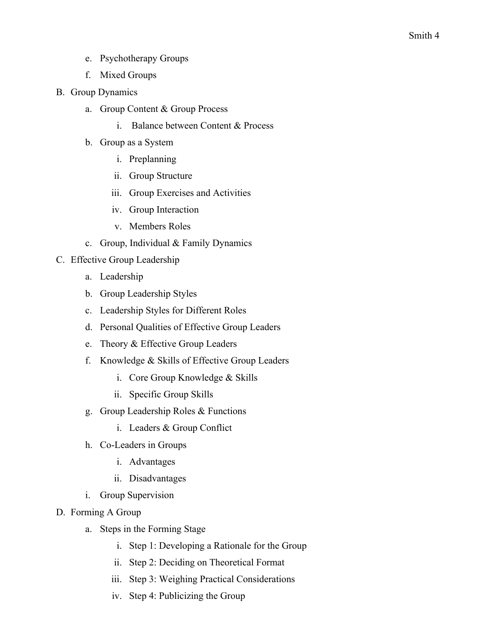- e. Psychotherapy Groups
- f. Mixed Groups
- B. Group Dynamics
	- a. Group Content & Group Process
		- i. Balance between Content & Process
	- b. Group as a System
		- i. Preplanning
		- ii. Group Structure
		- iii. Group Exercises and Activities
		- iv. Group Interaction
		- v. Members Roles
	- c. Group, Individual & Family Dynamics
- C. Effective Group Leadership
	- a. Leadership
	- b. Group Leadership Styles
	- c. Leadership Styles for Different Roles
	- d. Personal Qualities of Effective Group Leaders
	- e. Theory & Effective Group Leaders
	- f. Knowledge & Skills of Effective Group Leaders
		- i. Core Group Knowledge & Skills
		- ii. Specific Group Skills
	- g. Group Leadership Roles & Functions
		- i. Leaders & Group Conflict
	- h. Co-Leaders in Groups
		- i. Advantages
		- ii. Disadvantages
	- i. Group Supervision
- D. Forming A Group
	- a. Steps in the Forming Stage
		- i. Step 1: Developing a Rationale for the Group
		- ii. Step 2: Deciding on Theoretical Format
		- iii. Step 3: Weighing Practical Considerations
		- iv. Step 4: Publicizing the Group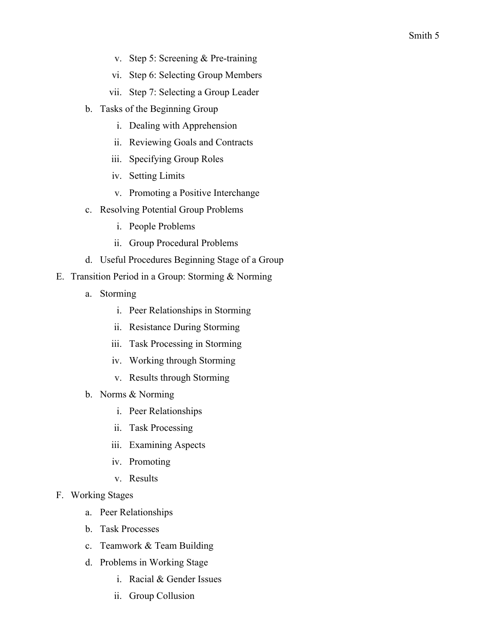- v. Step 5: Screening & Pre-training
- vi. Step 6: Selecting Group Members
- vii. Step 7: Selecting a Group Leader
- b. Tasks of the Beginning Group
	- i. Dealing with Apprehension
	- ii. Reviewing Goals and Contracts
	- iii. Specifying Group Roles
	- iv. Setting Limits
	- v. Promoting a Positive Interchange
- c. Resolving Potential Group Problems
	- i. People Problems
	- ii. Group Procedural Problems
- d. Useful Procedures Beginning Stage of a Group
- E. Transition Period in a Group: Storming & Norming
	- a. Storming
		- i. Peer Relationships in Storming
		- ii. Resistance During Storming
		- iii. Task Processing in Storming
		- iv. Working through Storming
		- v. Results through Storming
	- b. Norms & Norming
		- i. Peer Relationships
		- ii. Task Processing
		- iii. Examining Aspects
		- iv. Promoting
		- v. Results
- F. Working Stages
	- a. Peer Relationships
	- b. Task Processes
	- c. Teamwork & Team Building
	- d. Problems in Working Stage
		- i. Racial & Gender Issues
		- ii. Group Collusion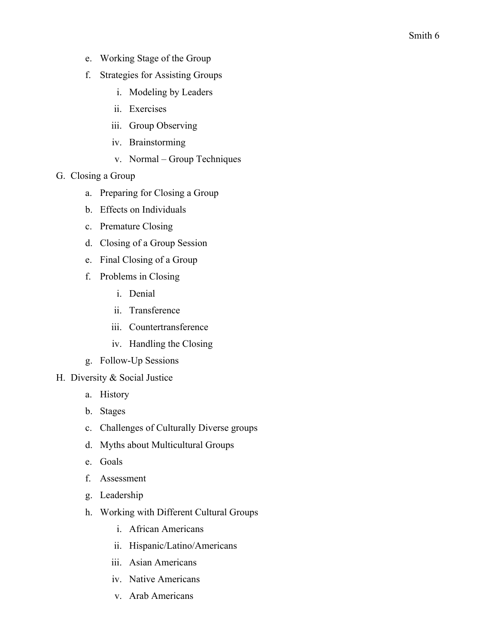- e. Working Stage of the Group
- f. Strategies for Assisting Groups
	- i. Modeling by Leaders
	- ii. Exercises
	- iii. Group Observing
	- iv. Brainstorming
	- v. Normal Group Techniques
- G. Closing a Group
	- a. Preparing for Closing a Group
	- b. Effects on Individuals
	- c. Premature Closing
	- d. Closing of a Group Session
	- e. Final Closing of a Group
	- f. Problems in Closing
		- i. Denial
		- ii. Transference
		- iii. Countertransference
		- iv. Handling the Closing
	- g. Follow-Up Sessions
- H. Diversity & Social Justice
	- a. History
	- b. Stages
	- c. Challenges of Culturally Diverse groups
	- d. Myths about Multicultural Groups
	- e. Goals
	- f. Assessment
	- g. Leadership
	- h. Working with Different Cultural Groups
		- i. African Americans
		- ii. Hispanic/Latino/Americans
		- iii. Asian Americans
		- iv. Native Americans
		- v. Arab Americans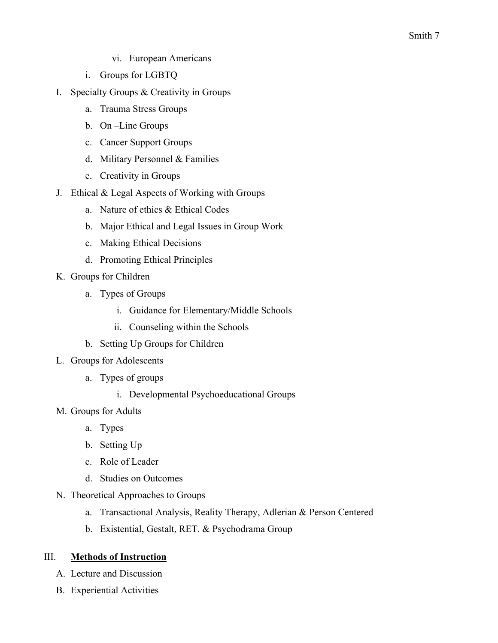- vi. European Americans
- i. Groups for LGBTQ
- I. Specialty Groups & Creativity in Groups
	- a. Trauma Stress Groups
	- b. On –Line Groups
	- c. Cancer Support Groups
	- d. Military Personnel & Families
	- e. Creativity in Groups
- J. Ethical & Legal Aspects of Working with Groups
	- a. Nature of ethics & Ethical Codes
	- b. Major Ethical and Legal Issues in Group Work
	- c. Making Ethical Decisions
	- d. Promoting Ethical Principles
- K. Groups for Children
	- a. Types of Groups
		- i. Guidance for Elementary/Middle Schools
		- ii. Counseling within the Schools
	- b. Setting Up Groups for Children
- L. Groups for Adolescents
	- a. Types of groups
		- i. Developmental Psychoeducational Groups
- M. Groups for Adults
	- a. Types
	- b. Setting Up
	- c. Role of Leader
	- d. Studies on Outcomes
- N. Theoretical Approaches to Groups
	- a. Transactional Analysis, Reality Therapy, Adlerian & Person Centered
	- b. Existential, Gestalt, RET. & Psychodrama Group

#### III. **Methods of Instruction**

- A. Lecture and Discussion
- B. Experiential Activities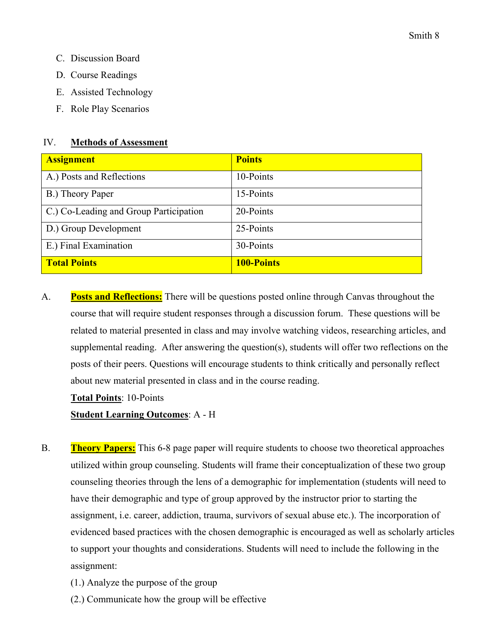- C. Discussion Board
- D. Course Readings
- E. Assisted Technology
- F. Role Play Scenarios

#### IV. **Methods of Assessment**

| <b>Assignment</b>                      | <b>Points</b>     |
|----------------------------------------|-------------------|
| A.) Posts and Reflections              | 10-Points         |
| B.) Theory Paper                       | 15-Points         |
| C.) Co-Leading and Group Participation | 20-Points         |
| D.) Group Development                  | 25-Points         |
| E.) Final Examination                  | 30-Points         |
| <b>Total Points</b>                    | <b>100-Points</b> |

A. **Posts and Reflections:** There will be questions posted online through Canvas throughout the course that will require student responses through a discussion forum. These questions will be related to material presented in class and may involve watching videos, researching articles, and supplemental reading. After answering the question(s), students will offer two reflections on the posts of their peers. Questions will encourage students to think critically and personally reflect about new material presented in class and in the course reading.

**Total Points**: 10-Points

# **Student Learning Outcomes**: A - H

- B. **Theory Papers:** This 6-8 page paper will require students to choose two theoretical approaches utilized within group counseling. Students will frame their conceptualization of these two group counseling theories through the lens of a demographic for implementation (students will need to have their demographic and type of group approved by the instructor prior to starting the assignment, i.e. career, addiction, trauma, survivors of sexual abuse etc.). The incorporation of evidenced based practices with the chosen demographic is encouraged as well as scholarly articles to support your thoughts and considerations. Students will need to include the following in the assignment:
	- (1.) Analyze the purpose of the group
	- (2.) Communicate how the group will be effective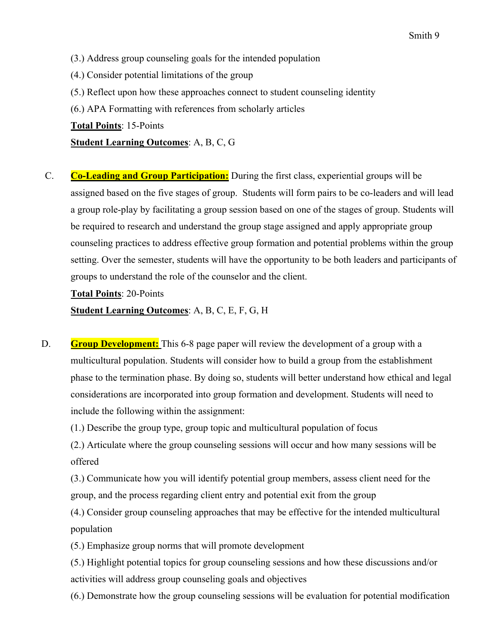- (4.) Consider potential limitations of the group
- (5.) Reflect upon how these approaches connect to student counseling identity
- (6.) APA Formatting with references from scholarly articles

**Total Points**: 15-Points

**Student Learning Outcomes**: A, B, C, G

C. **Co-Leading and Group Participation:** During the first class, experiential groups will be assigned based on the five stages of group. Students will form pairs to be co-leaders and will lead a group role-play by facilitating a group session based on one of the stages of group. Students will be required to research and understand the group stage assigned and apply appropriate group counseling practices to address effective group formation and potential problems within the group setting. Over the semester, students will have the opportunity to be both leaders and participants of groups to understand the role of the counselor and the client.

**Total Points**: 20-Points

**Student Learning Outcomes**: A, B, C, E, F, G, H

D. **Group Development:** This 6-8 page paper will review the development of a group with a multicultural population. Students will consider how to build a group from the establishment phase to the termination phase. By doing so, students will better understand how ethical and legal considerations are incorporated into group formation and development. Students will need to include the following within the assignment:

(1.) Describe the group type, group topic and multicultural population of focus

(2.) Articulate where the group counseling sessions will occur and how many sessions will be offered

(3.) Communicate how you will identify potential group members, assess client need for the group, and the process regarding client entry and potential exit from the group

(4.) Consider group counseling approaches that may be effective for the intended multicultural population

(5.) Emphasize group norms that will promote development

(5.) Highlight potential topics for group counseling sessions and how these discussions and/or activities will address group counseling goals and objectives

(6.) Demonstrate how the group counseling sessions will be evaluation for potential modification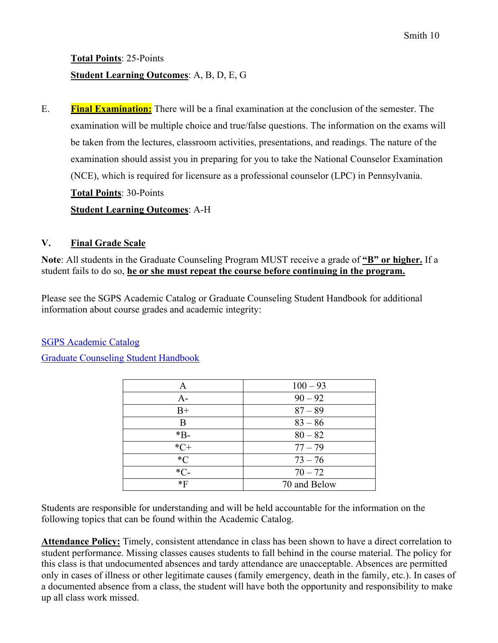**Total Points**: 25-Points **Student Learning Outcomes**: A, B, D, E, G

E. **Final Examination:** There will be a final examination at the conclusion of the semester. The examination will be multiple choice and true/false questions. The information on the exams will be taken from the lectures, classroom activities, presentations, and readings. The nature of the examination should assist you in preparing for you to take the National Counselor Examination (NCE), which is required for licensure as a professional counselor (LPC) in Pennsylvania. **Total Points**: 30-Points **Student Learning Outcomes**: A-H

# **V. Final Grade Scale**

**Note**: All students in the Graduate Counseling Program MUST receive a grade of **"B" or higher.** If a student fails to do so, **he or she must repeat the course before continuing in the program.** 

Please see the SGPS Academic Catalog or Graduate Counseling Student Handbook for additional information about course grades and academic integrity:

SGPS Academic Catalog

Graduate Counseling Student Handbook

| Α       | $100 - 93$   |
|---------|--------------|
| $A-$    | $90 - 92$    |
| $B+$    | $87 - 89$    |
| Β       | $83 - 86$    |
| $*B-$   | $80 - 82$    |
| $*C+$   | $77 - 79$    |
| ${}^*C$ | $73 - 76$    |
| $*C-$   | $70 - 72$    |
| $*F$    | 70 and Below |

Students are responsible for understanding and will be held accountable for the information on the following topics that can be found within the Academic Catalog.

**Attendance Policy:** Timely, consistent attendance in class has been shown to have a direct correlation to student performance. Missing classes causes students to fall behind in the course material. The policy for this class is that undocumented absences and tardy attendance are unacceptable. Absences are permitted only in cases of illness or other legitimate causes (family emergency, death in the family, etc.). In cases of a documented absence from a class, the student will have both the opportunity and responsibility to make up all class work missed.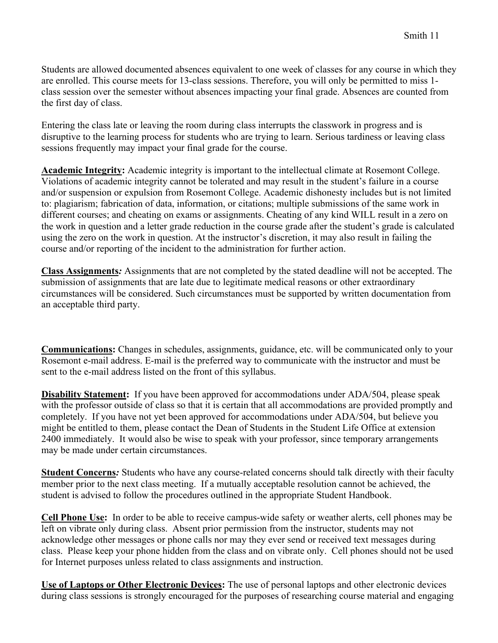Students are allowed documented absences equivalent to one week of classes for any course in which they are enrolled. This course meets for 13-class sessions. Therefore, you will only be permitted to miss 1 class session over the semester without absences impacting your final grade. Absences are counted from the first day of class.

Entering the class late or leaving the room during class interrupts the classwork in progress and is disruptive to the learning process for students who are trying to learn. Serious tardiness or leaving class sessions frequently may impact your final grade for the course.

**Academic Integrity:** Academic integrity is important to the intellectual climate at Rosemont College. Violations of academic integrity cannot be tolerated and may result in the student's failure in a course and/or suspension or expulsion from Rosemont College. Academic dishonesty includes but is not limited to: plagiarism; fabrication of data, information, or citations; multiple submissions of the same work in different courses; and cheating on exams or assignments. Cheating of any kind WILL result in a zero on the work in question and a letter grade reduction in the course grade after the student's grade is calculated using the zero on the work in question. At the instructor's discretion, it may also result in failing the course and/or reporting of the incident to the administration for further action.

**Class Assignments***:* Assignments that are not completed by the stated deadline will not be accepted. The submission of assignments that are late due to legitimate medical reasons or other extraordinary circumstances will be considered. Such circumstances must be supported by written documentation from an acceptable third party.

**Communications:** Changes in schedules, assignments, guidance, etc. will be communicated only to your Rosemont e-mail address. E-mail is the preferred way to communicate with the instructor and must be sent to the e-mail address listed on the front of this syllabus.

**Disability Statement:** If you have been approved for accommodations under ADA/504, please speak with the professor outside of class so that it is certain that all accommodations are provided promptly and completely. If you have not yet been approved for accommodations under ADA/504, but believe you might be entitled to them, please contact the Dean of Students in the Student Life Office at extension 2400 immediately. It would also be wise to speak with your professor, since temporary arrangements may be made under certain circumstances.

**Student Concerns***:* Students who have any course-related concerns should talk directly with their faculty member prior to the next class meeting. If a mutually acceptable resolution cannot be achieved, the student is advised to follow the procedures outlined in the appropriate Student Handbook.

**Cell Phone Use:** In order to be able to receive campus-wide safety or weather alerts, cell phones may be left on vibrate only during class. Absent prior permission from the instructor, students may not acknowledge other messages or phone calls nor may they ever send or received text messages during class. Please keep your phone hidden from the class and on vibrate only. Cell phones should not be used for Internet purposes unless related to class assignments and instruction.

**Use of Laptops or Other Electronic Devices:** The use of personal laptops and other electronic devices during class sessions is strongly encouraged for the purposes of researching course material and engaging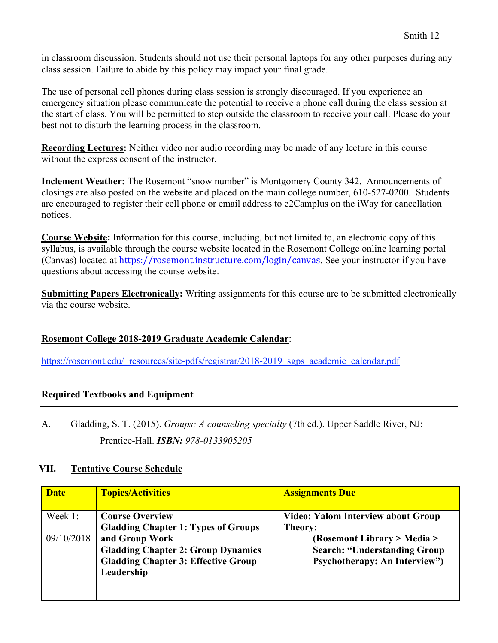in classroom discussion. Students should not use their personal laptops for any other purposes during any class session. Failure to abide by this policy may impact your final grade.

The use of personal cell phones during class session is strongly discouraged. If you experience an emergency situation please communicate the potential to receive a phone call during the class session at the start of class. You will be permitted to step outside the classroom to receive your call. Please do your best not to disturb the learning process in the classroom.

**Recording Lectures:** Neither video nor audio recording may be made of any lecture in this course without the express consent of the instructor.

**Inclement Weather:** The Rosemont "snow number" is Montgomery County 342. Announcements of closings are also posted on the website and placed on the main college number, 610-527-0200. Students are encouraged to register their cell phone or email address to e2Camplus on the iWay for cancellation notices.

**Course Website:** Information for this course, including, but not limited to, an electronic copy of this syllabus, is available through the course website located in the Rosemont College online learning portal (Canvas) located at https://rosemont.instructure.com/login/canvas. See your instructor if you have questions about accessing the course website.

**Submitting Papers Electronically:** Writing assignments for this course are to be submitted electronically via the course website.

# **Rosemont College 2018-2019 Graduate Academic Calendar**:

https://rosemont.edu/\_resources/site-pdfs/registrar/2018-2019\_sgps\_academic\_calendar.pdf

# **Required Textbooks and Equipment**

A. Gladding, S. T. (2015). *Groups: A counseling specialty* (7th ed.). Upper Saddle River, NJ: Prentice-Hall. *ISBN: 978-0133905205*

# **VII. Tentative Course Schedule**

| <b>Date</b>           | <b>Topics/Activities</b>                                                                                                                                                                        | <b>Assignments Due</b>                                                                                                                                       |
|-----------------------|-------------------------------------------------------------------------------------------------------------------------------------------------------------------------------------------------|--------------------------------------------------------------------------------------------------------------------------------------------------------------|
| Week 1:<br>09/10/2018 | <b>Course Overview</b><br><b>Gladding Chapter 1: Types of Groups</b><br>and Group Work<br><b>Gladding Chapter 2: Group Dynamics</b><br><b>Gladding Chapter 3: Effective Group</b><br>Leadership | Video: Yalom Interview about Group<br>Theory:<br>(Rosemont Library > Media ><br><b>Search: "Understanding Group</b><br><b>Psychotherapy: An Interview"</b> ) |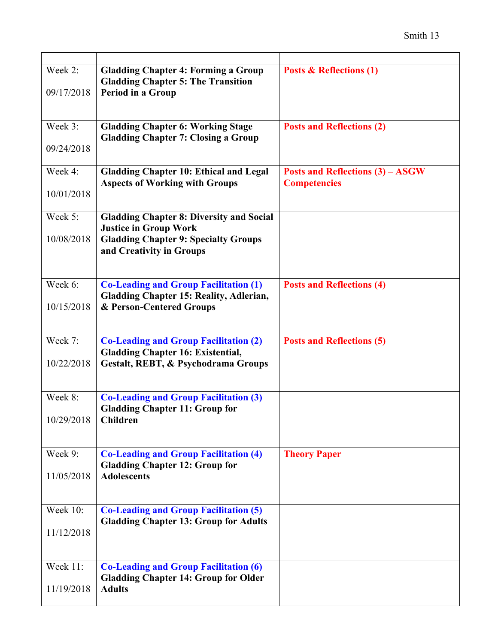| Week 2:         | <b>Gladding Chapter 4: Forming a Group</b><br><b>Gladding Chapter 5: The Transition</b>        | <b>Posts &amp; Reflections (1)</b>                             |
|-----------------|------------------------------------------------------------------------------------------------|----------------------------------------------------------------|
| 09/17/2018      | Period in a Group                                                                              |                                                                |
| Week 3:         | <b>Gladding Chapter 6: Working Stage</b><br><b>Gladding Chapter 7: Closing a Group</b>         | <b>Posts and Reflections (2)</b>                               |
| 09/24/2018      |                                                                                                |                                                                |
| Week 4:         | <b>Gladding Chapter 10: Ethical and Legal</b><br><b>Aspects of Working with Groups</b>         | <b>Posts and Reflections (3) - ASGW</b><br><b>Competencies</b> |
| 10/01/2018      |                                                                                                |                                                                |
| Week 5:         | <b>Gladding Chapter 8: Diversity and Social</b><br><b>Justice in Group Work</b>                |                                                                |
| 10/08/2018      | <b>Gladding Chapter 9: Specialty Groups</b><br>and Creativity in Groups                        |                                                                |
| Week 6:         | <b>Co-Leading and Group Facilitation (1)</b><br><b>Gladding Chapter 15: Reality, Adlerian,</b> | <b>Posts and Reflections (4)</b>                               |
| 10/15/2018      | & Person-Centered Groups                                                                       |                                                                |
| Week 7:         | <b>Co-Leading and Group Facilitation (2)</b><br><b>Gladding Chapter 16: Existential,</b>       | <b>Posts and Reflections (5)</b>                               |
| 10/22/2018      | Gestalt, REBT, & Psychodrama Groups                                                            |                                                                |
| Week 8:         | <b>Co-Leading and Group Facilitation (3)</b><br><b>Gladding Chapter 11: Group for</b>          |                                                                |
| 10/29/2018      | Children                                                                                       |                                                                |
| Week 9:         | <b>Co-Leading and Group Facilitation (4)</b><br><b>Gladding Chapter 12: Group for</b>          | <b>Theory Paper</b>                                            |
| 11/05/2018      | <b>Adolescents</b>                                                                             |                                                                |
| <b>Week 10:</b> | <b>Co-Leading and Group Facilitation (5)</b><br><b>Gladding Chapter 13: Group for Adults</b>   |                                                                |
| 11/12/2018      |                                                                                                |                                                                |
| Week 11:        | <b>Co-Leading and Group Facilitation (6)</b><br><b>Gladding Chapter 14: Group for Older</b>    |                                                                |
| 11/19/2018      | <b>Adults</b>                                                                                  |                                                                |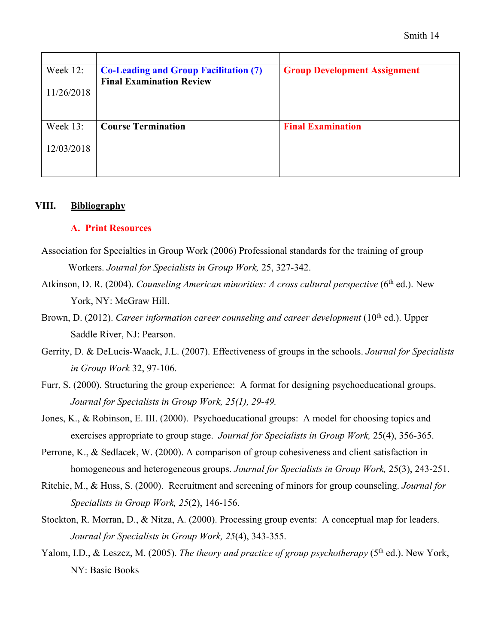| Week 12:   | <b>Co-Leading and Group Facilitation (7)</b> | <b>Group Development Assignment</b> |
|------------|----------------------------------------------|-------------------------------------|
|            | <b>Final Examination Review</b>              |                                     |
| 11/26/2018 |                                              |                                     |
|            |                                              |                                     |
|            |                                              |                                     |
| Week 13:   | <b>Course Termination</b>                    | <b>Final Examination</b>            |
|            |                                              |                                     |
| 12/03/2018 |                                              |                                     |
|            |                                              |                                     |
|            |                                              |                                     |

#### **VIII. Bibliography**

#### **A. Print Resources**

- Association for Specialties in Group Work (2006) Professional standards for the training of group Workers. *Journal for Specialists in Group Work,* 25, 327-342.
- Atkinson, D. R. (2004). *Counseling American minorities: A cross cultural perspective* (6<sup>th</sup> ed.). New York, NY: McGraw Hill.
- Brown, D. (2012). *Career information career counseling and career development* (10<sup>th</sup> ed.). Upper Saddle River, NJ: Pearson.
- Gerrity, D. & DeLucis-Waack, J.L. (2007). Effectiveness of groups in the schools. *Journal for Specialists in Group Work* 32, 97-106.
- Furr, S. (2000). Structuring the group experience: A format for designing psychoeducational groups. *Journal for Specialists in Group Work, 25(1), 29-49.*
- Jones, K., & Robinson, E. III. (2000). Psychoeducational groups: A model for choosing topics and exercises appropriate to group stage. *Journal for Specialists in Group Work,* 25(4), 356-365.
- Perrone, K., & Sedlacek, W. (2000). A comparison of group cohesiveness and client satisfaction in homogeneous and heterogeneous groups. *Journal for Specialists in Group Work,* 25(3), 243-251.
- Ritchie, M., & Huss, S. (2000). Recruitment and screening of minors for group counseling. *Journal for Specialists in Group Work, 25*(2), 146-156.
- Stockton, R. Morran, D., & Nitza, A. (2000). Processing group events: A conceptual map for leaders. *Journal for Specialists in Group Work, 25*(4), 343-355.
- Yalom, I.D., & Leszcz, M. (2005). *The theory and practice of group psychotherapy* (5<sup>th</sup> ed.). New York, NY: Basic Books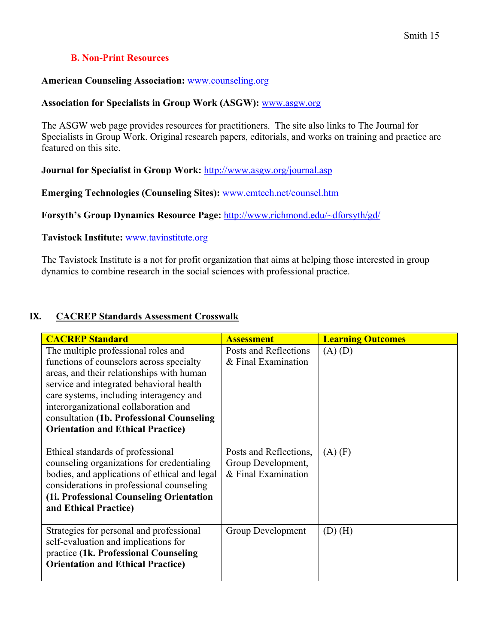# **B. Non-Print Resources**

#### **American Counseling Association:** www.counseling.org

#### **Association for Specialists in Group Work (ASGW):** www.asgw.org

The ASGW web page provides resources for practitioners. The site also links to The Journal for Specialists in Group Work. Original research papers, editorials, and works on training and practice are featured on this site.

**Journal for Specialist in Group Work:** http://www.asgw.org/journal.asp

**Emerging Technologies (Counseling Sites):** www.emtech.net/counsel.htm

**Forsyth's Group Dynamics Resource Page:** http://www.richmond.edu/~dforsyth/gd/

**Tavistock Institute:** www.tavinstitute.org

The Tavistock Institute is a not for profit organization that aims at helping those interested in group dynamics to combine research in the social sciences with professional practice.

#### **IX. CACREP Standards Assessment Crosswalk**

| <b>CACREP Standard</b>                                                                                                                                                                                                                                                                                                                                | <b>Assessment</b>                                                   | <b>Learning Outcomes</b> |
|-------------------------------------------------------------------------------------------------------------------------------------------------------------------------------------------------------------------------------------------------------------------------------------------------------------------------------------------------------|---------------------------------------------------------------------|--------------------------|
| The multiple professional roles and<br>functions of counselors across specialty<br>areas, and their relationships with human<br>service and integrated behavioral health<br>care systems, including interagency and<br>interorganizational collaboration and<br>consultation (1b. Professional Counseling<br><b>Orientation and Ethical Practice)</b> | Posts and Reflections<br>& Final Examination                        | $(A)$ $(D)$              |
| Ethical standards of professional<br>counseling organizations for credentialing<br>bodies, and applications of ethical and legal<br>considerations in professional counseling<br>(1i. Professional Counseling Orientation<br>and Ethical Practice)                                                                                                    | Posts and Reflections,<br>Group Development,<br>& Final Examination | $(A)$ $(F)$              |
| Strategies for personal and professional<br>self-evaluation and implications for<br>practice (1k. Professional Counseling<br><b>Orientation and Ethical Practice)</b>                                                                                                                                                                                 | Group Development                                                   | $(D)$ $(H)$              |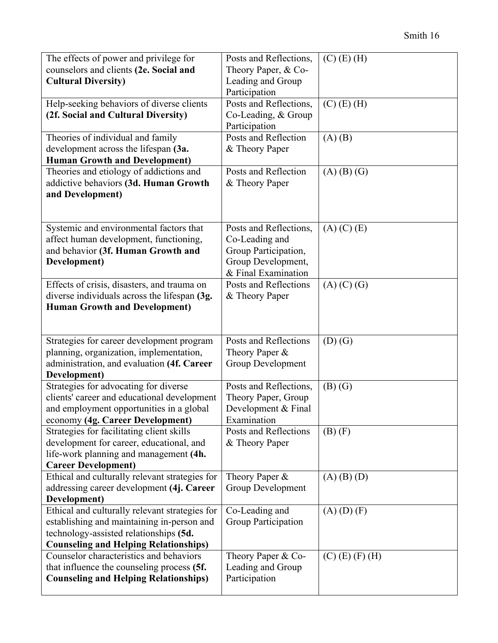| The effects of power and privilege for<br>counselors and clients (2e. Social and<br><b>Cultural Diversity)</b>                                                                         | Posts and Reflections,<br>Theory Paper, & Co-<br>Leading and Group<br>Participation                           | $(C)$ (E) (H)     |
|----------------------------------------------------------------------------------------------------------------------------------------------------------------------------------------|---------------------------------------------------------------------------------------------------------------|-------------------|
| Help-seeking behaviors of diverse clients<br>(2f. Social and Cultural Diversity)                                                                                                       | Posts and Reflections,<br>Co-Leading, & Group<br>Participation                                                | $(C)$ (E) (H)     |
| Theories of individual and family<br>development across the lifespan (3a.<br><b>Human Growth and Development)</b>                                                                      | Posts and Reflection<br>& Theory Paper                                                                        | $(A)$ $(B)$       |
| Theories and etiology of addictions and<br>addictive behaviors (3d. Human Growth<br>and Development)                                                                                   | Posts and Reflection<br>& Theory Paper                                                                        | $(A)$ $(B)$ $(G)$ |
| Systemic and environmental factors that<br>affect human development, functioning,<br>and behavior (3f. Human Growth and<br>Development)                                                | Posts and Reflections,<br>Co-Leading and<br>Group Participation,<br>Group Development,<br>& Final Examination | $(A)$ $(C)$ $(E)$ |
| Effects of crisis, disasters, and trauma on<br>diverse individuals across the lifespan (3g.<br><b>Human Growth and Development)</b>                                                    | Posts and Reflections<br>& Theory Paper                                                                       | $(A)$ $(C)$ $(G)$ |
| Strategies for career development program<br>planning, organization, implementation,<br>administration, and evaluation (4f. Career<br>Development)                                     | Posts and Reflections<br>Theory Paper &<br>Group Development                                                  | $(D)$ $(G)$       |
| Strategies for advocating for diverse<br>clients' career and educational development<br>and employment opportunities in a global<br>economy (4g. Career Development)                   | Posts and Reflections,<br>Theory Paper, Group<br>Development & Final<br>Examination                           | $(B)$ $(G)$       |
| Strategies for facilitating client skills<br>development for career, educational, and<br>life-work planning and management (4h.<br><b>Career Development)</b>                          | Posts and Reflections<br>& Theory Paper                                                                       | $(B)$ $(F)$       |
| Ethical and culturally relevant strategies for<br>addressing career development (4j. Career<br>Development)                                                                            | Theory Paper &<br>Group Development                                                                           | $(A)$ $(B)$ $(D)$ |
| Ethical and culturally relevant strategies for<br>establishing and maintaining in-person and<br>technology-assisted relationships (5d.<br><b>Counseling and Helping Relationships)</b> | Co-Leading and<br>Group Participation                                                                         | $(A)$ $(D)$ $(F)$ |
| Counselor characteristics and behaviors<br>that influence the counseling process (5f.<br><b>Counseling and Helping Relationships)</b>                                                  | Theory Paper & Co-<br>Leading and Group<br>Participation                                                      | $(C)$ (E) (F) (H) |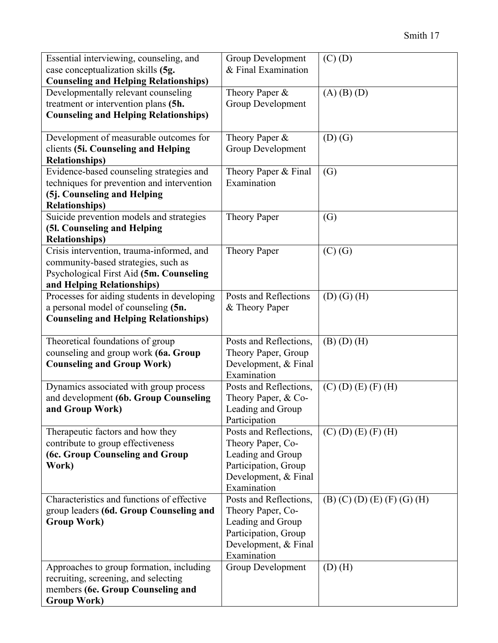| Essential interviewing, counseling, and<br>case conceptualization skills (5g.                                                                                               | Group Development<br>& Final Examination                                                                                                                    | $(C)$ $(D)$                                |
|-----------------------------------------------------------------------------------------------------------------------------------------------------------------------------|-------------------------------------------------------------------------------------------------------------------------------------------------------------|--------------------------------------------|
| <b>Counseling and Helping Relationships)</b><br>Developmentally relevant counseling<br>treatment or intervention plans (5h.<br><b>Counseling and Helping Relationships)</b> | Theory Paper &<br><b>Group Development</b>                                                                                                                  | $(A)$ $(B)$ $(D)$                          |
| Development of measurable outcomes for<br>clients (5i. Counseling and Helping<br><b>Relationships)</b>                                                                      | Theory Paper &<br><b>Group Development</b>                                                                                                                  | $(D)$ $(G)$                                |
| Evidence-based counseling strategies and<br>techniques for prevention and intervention<br>(5j. Counseling and Helping<br><b>Relationships)</b>                              | Theory Paper & Final<br>Examination                                                                                                                         | (G)                                        |
| Suicide prevention models and strategies<br>(5l. Counseling and Helping<br><b>Relationships)</b>                                                                            | Theory Paper                                                                                                                                                | (G)                                        |
| Crisis intervention, trauma-informed, and<br>community-based strategies, such as<br>Psychological First Aid (5m. Counseling<br>and Helping Relationships)                   | Theory Paper                                                                                                                                                | $(C)$ $(G)$                                |
| Processes for aiding students in developing<br>a personal model of counseling (5n.<br><b>Counseling and Helping Relationships)</b>                                          | Posts and Reflections<br>& Theory Paper                                                                                                                     | $(D)$ $(G)$ $(H)$                          |
| Theoretical foundations of group<br>counseling and group work (6a. Group<br><b>Counseling and Group Work)</b>                                                               | Posts and Reflections,<br>Theory Paper, Group<br>Development, & Final<br>Examination                                                                        | $(B)$ $(D)$ $(H)$                          |
| Dynamics associated with group process<br>and development (6b. Group Counseling<br>and Group Work)                                                                          | Posts and Reflections,<br>Theory Paper, & Co-<br>Leading and Group<br>Participation                                                                         | $(C)$ (D) (E) (F) (H)                      |
| Therapeutic factors and how they<br>contribute to group effectiveness<br>(6c. Group Counseling and Group<br>Work)                                                           | Posts and Reflections,<br>Theory Paper, Co-<br>Leading and Group<br>Participation, Group<br>Development, & Final<br>Examination                             | $(C)$ (D) (E) (F) (H)                      |
| Characteristics and functions of effective<br>group leaders (6d. Group Counseling and<br><b>Group Work)</b><br>Approaches to group formation, including                     | Posts and Reflections,<br>Theory Paper, Co-<br>Leading and Group<br>Participation, Group<br>Development, & Final<br>Examination<br><b>Group Development</b> | $(B)$ (C) (D) (E) (F) (G) (H)<br>$(D)$ (H) |
| recruiting, screening, and selecting<br>members (6e. Group Counseling and<br><b>Group Work)</b>                                                                             |                                                                                                                                                             |                                            |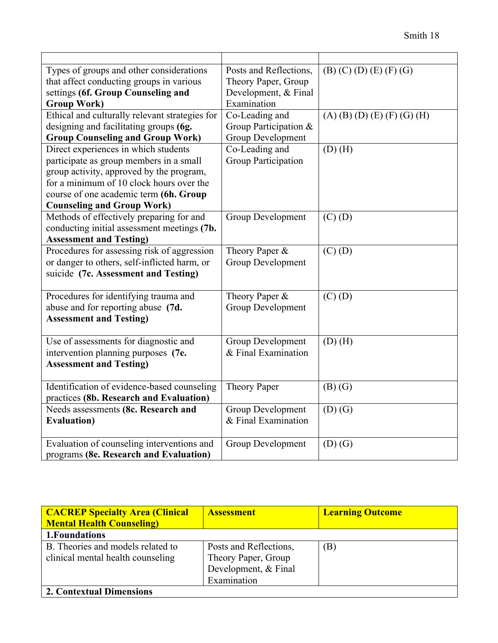| Types of groups and other considerations       | Posts and Reflections,     | $(B)$ (C) (D) (E) (F) (G)     |
|------------------------------------------------|----------------------------|-------------------------------|
| that affect conducting groups in various       | Theory Paper, Group        |                               |
| settings (6f. Group Counseling and             | Development, & Final       |                               |
| <b>Group Work)</b>                             | Examination                |                               |
| Ethical and culturally relevant strategies for | Co-Leading and             | $(A)$ (B) (D) (E) (F) (G) (H) |
| designing and facilitating groups (6g.         | Group Participation &      |                               |
| <b>Group Counseling and Group Work)</b>        | <b>Group Development</b>   |                               |
| Direct experiences in which students           | Co-Leading and             | $(D)$ $(H)$                   |
| participate as group members in a small        | <b>Group Participation</b> |                               |
| group activity, approved by the program,       |                            |                               |
| for a minimum of 10 clock hours over the       |                            |                               |
| course of one academic term (6h. Group         |                            |                               |
| <b>Counseling and Group Work)</b>              |                            |                               |
| Methods of effectively preparing for and       | <b>Group Development</b>   | $(C)$ $(D)$                   |
| conducting initial assessment meetings (7b.    |                            |                               |
| <b>Assessment and Testing)</b>                 |                            |                               |
| Procedures for assessing risk of aggression    | Theory Paper &             | $(C)$ $(D)$                   |
| or danger to others, self-inflicted harm, or   | Group Development          |                               |
| suicide (7c. Assessment and Testing)           |                            |                               |
| Procedures for identifying trauma and          | Theory Paper &             | $(C)$ $(D)$                   |
| abuse and for reporting abuse (7d.             | <b>Group Development</b>   |                               |
| <b>Assessment and Testing)</b>                 |                            |                               |
|                                                |                            |                               |
| Use of assessments for diagnostic and          | Group Development          | $(D)$ $(H)$                   |
| intervention planning purposes (7e.            | & Final Examination        |                               |
| <b>Assessment and Testing)</b>                 |                            |                               |
|                                                |                            |                               |
| Identification of evidence-based counseling    | <b>Theory Paper</b>        | $(B)$ $(G)$                   |
| practices (8b. Research and Evaluation)        |                            |                               |
| Needs assessments (8c. Research and            | <b>Group Development</b>   | $(D)$ $(G)$                   |
| <b>Evaluation</b> )                            | & Final Examination        |                               |
|                                                |                            |                               |
| Evaluation of counseling interventions and     | Group Development          | $(D)$ $(G)$                   |
| programs (8e. Research and Evaluation)         |                            |                               |

| <b>CACREP Specialty Area (Clinical</b> | <b>Assessment</b>      | <b>Learning Outcome</b> |
|----------------------------------------|------------------------|-------------------------|
| <b>Mental Health Counseling</b>        |                        |                         |
| 1. Foundations                         |                        |                         |
| B. Theories and models related to      | Posts and Reflections, | (B)                     |
| clinical mental health counseling      | Theory Paper, Group    |                         |
|                                        | Development, & Final   |                         |
|                                        | Examination            |                         |
| 2. Contextual Dimensions               |                        |                         |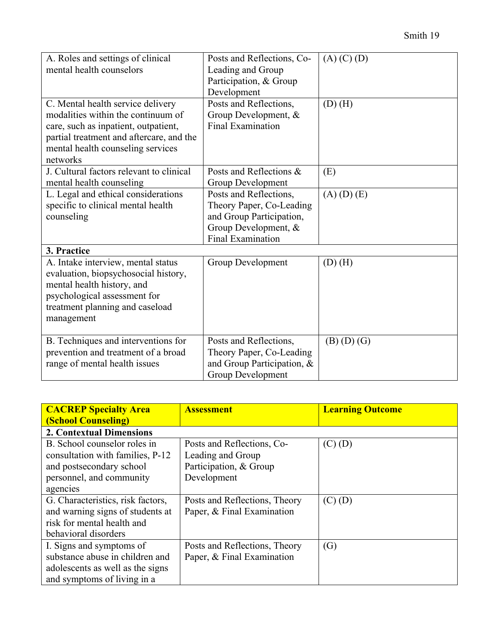| A. Roles and settings of clinical<br>mental health counselors                                                                                                                                                | Posts and Reflections, Co-<br>Leading and Group<br>Participation, & Group<br>Development                                           | $(A)$ (C) (D)     |
|--------------------------------------------------------------------------------------------------------------------------------------------------------------------------------------------------------------|------------------------------------------------------------------------------------------------------------------------------------|-------------------|
| C. Mental health service delivery<br>modalities within the continuum of<br>care, such as inpatient, outpatient,<br>partial treatment and aftercare, and the<br>mental health counseling services<br>networks | Posts and Reflections,<br>Group Development, &<br><b>Final Examination</b>                                                         | $(D)$ $(H)$       |
| J. Cultural factors relevant to clinical<br>mental health counseling                                                                                                                                         | Posts and Reflections &<br>Group Development                                                                                       | (E)               |
| L. Legal and ethical considerations<br>specific to clinical mental health<br>counseling                                                                                                                      | Posts and Reflections,<br>Theory Paper, Co-Leading<br>and Group Participation,<br>Group Development, &<br><b>Final Examination</b> | $(A)$ $(D)$ $(E)$ |
| 3. Practice                                                                                                                                                                                                  |                                                                                                                                    |                   |
| A. Intake interview, mental status<br>evaluation, biopsychosocial history,<br>mental health history, and<br>psychological assessment for<br>treatment planning and caseload<br>management                    | <b>Group Development</b>                                                                                                           | $(D)$ (H)         |
| B. Techniques and interventions for                                                                                                                                                                          | Posts and Reflections,                                                                                                             | $(B)$ $(D)$ $(G)$ |

Theory Paper, Co-Leading and Group Participation, &

Group Development

| <b>CACREP Specialty Area</b>      | <b>Assessment</b>             | <b>Learning Outcome</b> |  |
|-----------------------------------|-------------------------------|-------------------------|--|
| <b>(School Counseling)</b>        |                               |                         |  |
| <b>2. Contextual Dimensions</b>   |                               |                         |  |
| B. School counselor roles in      | Posts and Reflections, Co-    | $(C)$ $(D)$             |  |
| consultation with families, P-12  | Leading and Group             |                         |  |
| and postsecondary school          | Participation, & Group        |                         |  |
| personnel, and community          | Development                   |                         |  |
| agencies                          |                               |                         |  |
| G. Characteristics, risk factors, | Posts and Reflections, Theory | $(C)$ $(D)$             |  |
| and warning signs of students at  | Paper, & Final Examination    |                         |  |
| risk for mental health and        |                               |                         |  |
| behavioral disorders              |                               |                         |  |
| I. Signs and symptoms of          | Posts and Reflections, Theory | (G)                     |  |
| substance abuse in children and   | Paper, & Final Examination    |                         |  |
| adolescents as well as the signs  |                               |                         |  |
| and symptoms of living in a       |                               |                         |  |

prevention and treatment of a broad

range of mental health issues